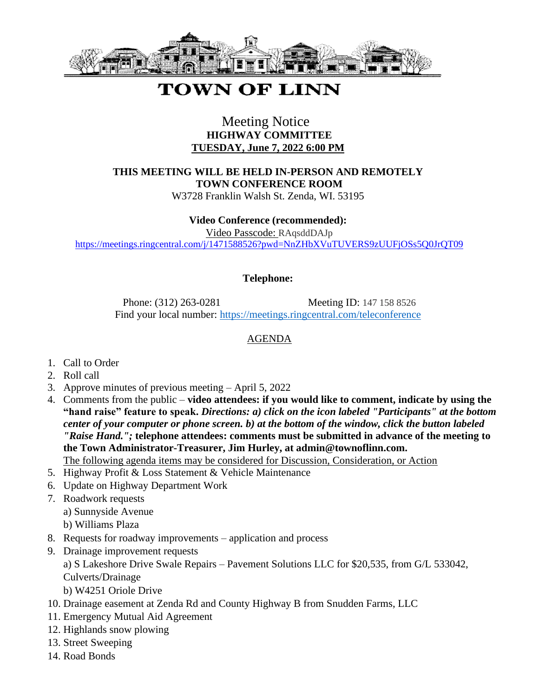

# **TOWN OF LINN**

## Meeting Notice **HIGHWAY COMMITTEE TUESDAY, June 7, 2022 6:00 PM**

**THIS MEETING WILL BE HELD IN-PERSON AND REMOTELY TOWN CONFERENCE ROOM**

W3728 Franklin Walsh St. Zenda, WI. 53195

#### **Video Conference (recommended):**

Video Passcode: RAqsddDAJp

https://meetings.ringcentral.com/j/1471588526?pwd=NnZHbXVuTUVERS9zUUFjOSs5O0JrOT09

#### **Telephone:**

Phone: (312) 263-0281 Meeting ID: 147 158 8526 Find your local number: <https://meetings.ringcentral.com/teleconference>

### AGENDA

- 1. Call to Order
- 2. Roll call
- 3. Approve minutes of previous meeting April 5, 2022
- 4. Comments from the public **video attendees: if you would like to comment, indicate by using the "hand raise" feature to speak.** *Directions: a) click on the icon labeled "Participants" at the bottom center of your computer or phone screen. b) at the bottom of the window, click the button labeled "Raise Hand.";* **telephone attendees: comments must be submitted in advance of the meeting to the Town Administrator-Treasurer, Jim Hurley, at admin@townoflinn.com.** The following agenda items may be considered for Discussion, Consideration, or Action

5. Highway Profit & Loss Statement & Vehicle Maintenance

- 6. Update on Highway Department Work
- 7. Roadwork requests
	- a) Sunnyside Avenue
	- b) Williams Plaza
- 8. Requests for roadway improvements application and process
- 9. Drainage improvement requests

a) S Lakeshore Drive Swale Repairs – Pavement Solutions LLC for \$20,535, from G/L 533042, Culverts/Drainage

- b) W4251 Oriole Drive
- 10. Drainage easement at Zenda Rd and County Highway B from Snudden Farms, LLC
- 11. Emergency Mutual Aid Agreement
- 12. Highlands snow plowing
- 13. Street Sweeping
- 14. Road Bonds